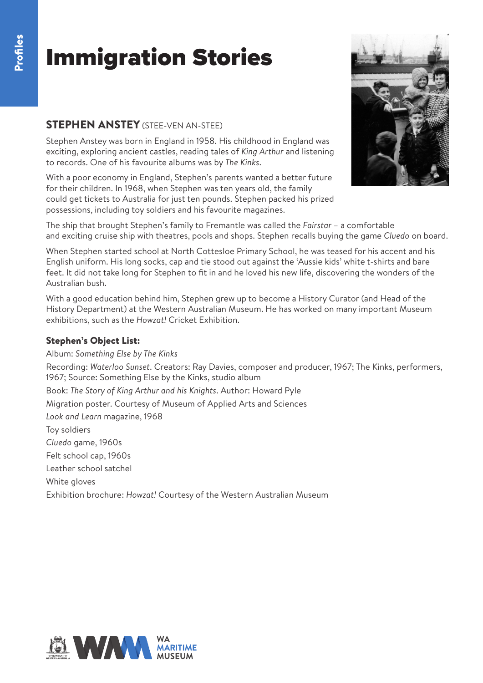### STEPHEN ANSTEY (STEE-VEN AN-STEE)

Stephen Anstey was born in England in 1958. His childhood in England was exciting, exploring ancient castles, reading tales of *King Arthur* and listening to records. One of his favourite albums was by *The Kinks*.

With a poor economy in England, Stephen's parents wanted a better future for their children. In 1968, when Stephen was ten years old, the family could get tickets to Australia for just ten pounds. Stephen packed his prized possessions, including toy soldiers and his favourite magazines.



The ship that brought Stephen's family to Fremantle was called the *Fairstar* – a comfortable and exciting cruise ship with theatres, pools and shops. Stephen recalls buying the game *Cluedo* on board.

When Stephen started school at North Cottesloe Primary School, he was teased for his accent and his English uniform. His long socks, cap and tie stood out against the 'Aussie kids' white t-shirts and bare feet. It did not take long for Stephen to fit in and he loved his new life, discovering the wonders of the Australian bush.

With a good education behind him, Stephen grew up to become a History Curator (and Head of the History Department) at the Western Australian Museum. He has worked on many important Museum exhibitions, such as the *Howzat!* Cricket Exhibition.

#### Stephen's Object List:

Album: *Something Else by The Kinks* Recording: *Waterloo Sunset*. Creators: Ray Davies, composer and producer, 1967; The Kinks, performers, 1967; Source: Something Else by the Kinks, studio album Book: *The Story of King Arthur and his Knights*. Author: Howard Pyle Migration poster. Courtesy of Museum of Applied Arts and Sciences *Look and Learn* magazine, 1968 Toy soldiers *Cluedo* game, 1960s Felt school cap, 1960s Leather school satchel White gloves Exhibition brochure: *Howzat!* Courtesy of the Western Australian Museum

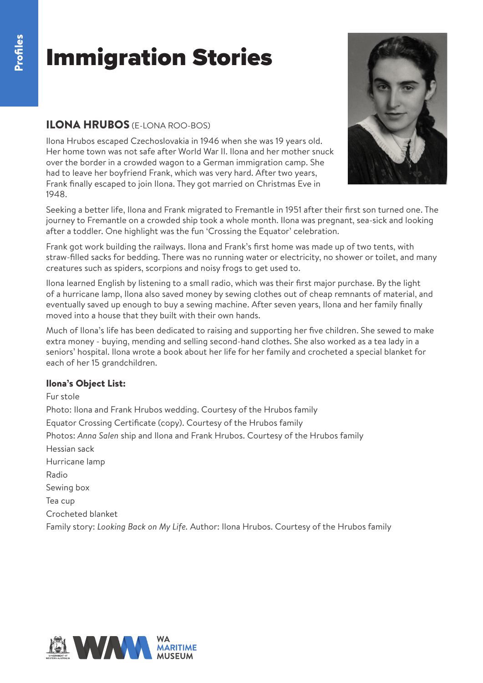### ILONA HRUBOS (E-LONA ROO-BOS)

Ilona Hrubos escaped Czechoslovakia in 1946 when she was 19 years old. Her home town was not safe after World War II. Ilona and her mother snuck over the border in a crowded wagon to a German immigration camp. She had to leave her boyfriend Frank, which was very hard. After two years, Frank finally escaped to join Ilona. They got married on Christmas Eve in 1948.



Seeking a better life, Ilona and Frank migrated to Fremantle in 1951 after their first son turned one. The journey to Fremantle on a crowded ship took a whole month. Ilona was pregnant, sea-sick and looking after a toddler. One highlight was the fun 'Crossing the Equator' celebration.

Frank got work building the railways. Ilona and Frank's first home was made up of two tents, with straw-filled sacks for bedding. There was no running water or electricity, no shower or toilet, and many creatures such as spiders, scorpions and noisy frogs to get used to.

Ilona learned English by listening to a small radio, which was their first major purchase. By the light of a hurricane lamp, Ilona also saved money by sewing clothes out of cheap remnants of material, and eventually saved up enough to buy a sewing machine. After seven years, Ilona and her family finally moved into a house that they built with their own hands.

Much of Ilona's life has been dedicated to raising and supporting her five children. She sewed to make extra money - buying, mending and selling second-hand clothes. She also worked as a tea lady in a seniors' hospital. Ilona wrote a book about her life for her family and crocheted a special blanket for each of her 15 grandchildren.

#### Ilona's Object List:

Fur stole Photo: Ilona and Frank Hrubos wedding. Courtesy of the Hrubos family Equator Crossing Certificate (copy). Courtesy of the Hrubos family Photos: *Anna Salen* ship and Ilona and Frank Hrubos. Courtesy of the Hrubos family Hessian sack Hurricane lamp Radio Sewing box Tea cup Crocheted blanket Family story: *Looking Back on My Life.* Author: Ilona Hrubos. Courtesy of the Hrubos family

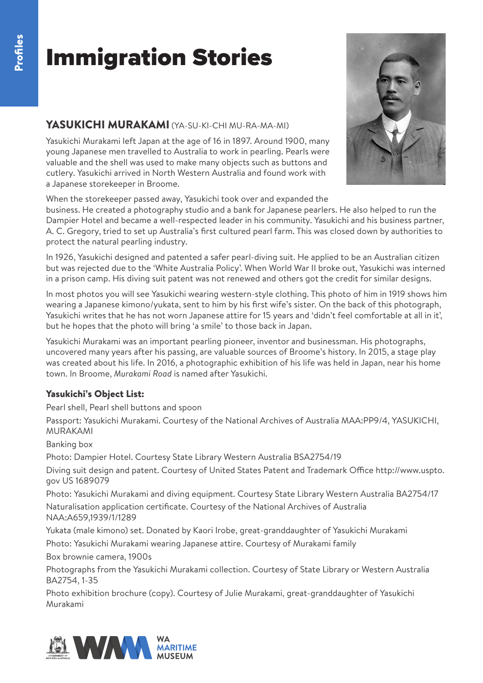#### YASUKICHI MURAKAMI (YA-SU-KI-CHI MU-RA-MA-MI)

Yasukichi Murakami left Japan at the age of 16 in 1897. Around 1900, many young Japanese men travelled to Australia to work in pearling. Pearls were valuable and the shell was used to make many objects such as buttons and cutlery. Yasukichi arrived in North Western Australia and found work with a Japanese storekeeper in Broome.

When the storekeeper passed away, Yasukichi took over and expanded the

business. He created a photography studio and a bank for Japanese pearlers. He also helped to run the Dampier Hotel and became a well-respected leader in his community. Yasukichi and his business partner, A. C. Gregory, tried to set up Australia's first cultured pearl farm. This was closed down by authorities to protect the natural pearling industry.

In 1926, Yasukichi designed and patented a safer pearl-diving suit. He applied to be an Australian citizen but was rejected due to the 'White Australia Policy'. When World War II broke out, Yasukichi was interned in a prison camp. His diving suit patent was not renewed and others got the credit for similar designs.

In most photos you will see Yasukichi wearing western-style clothing. This photo of him in 1919 shows him wearing a Japanese kimono/yukata, sent to him by his first wife's sister. On the back of this photograph, Yasukichi writes that he has not worn Japanese attire for 15 years and 'didn't feel comfortable at all in it', but he hopes that the photo will bring 'a smile' to those back in Japan.

Yasukichi Murakami was an important pearling pioneer, inventor and businessman. His photographs, uncovered many years after his passing, are valuable sources of Broome's history. In 2015, a stage play was created about his life. In 2016, a photographic exhibition of his life was held in Japan, near his home town. In Broome, *Murakami Road* is named after Yasukichi.

#### Yasukichi's Object List:

Pearl shell, Pearl shell buttons and spoon

Passport: Yasukichi Murakami. Courtesy of the National Archives of Australia MAA:PP9/4, YASUKICHI, MURAKAMI

Banking box

Photo: Dampier Hotel. Courtesy State Library Western Australia BSA2754/19

Diving suit design and patent. Courtesy of United States Patent and Trademark Office http://www.uspto. gov US 1689079

Photo: Yasukichi Murakami and diving equipment. Courtesy State Library Western Australia BA2754/17 Naturalisation application certificate. Courtesy of the National Archives of Australia NAA:A659,1939/1/1289

Yukata (male kimono) set. Donated by Kaori Irobe, great-granddaughter of Yasukichi Murakami

Photo: Yasukichi Murakami wearing Japanese attire. Courtesy of Murakami family

Box brownie camera, 1900s

Photographs from the Yasukichi Murakami collection. Courtesy of State Library or Western Australia BA2754, 1-35

Photo exhibition brochure (copy). Courtesy of Julie Murakami, great-granddaughter of Yasukichi Murakami



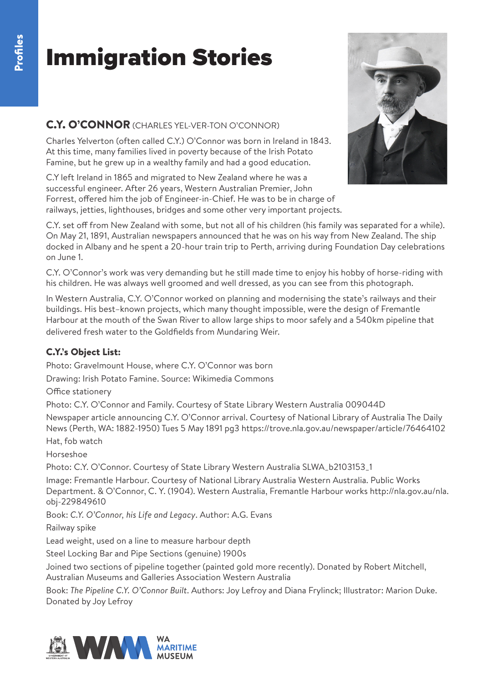### C.Y. O'CONNOR (CHARLES YEL-VER-TON O'CONNOR)

Charles Yelverton (often called C.Y.) O'Connor was born in Ireland in 1843. At this time, many families lived in poverty because of the Irish Potato Famine, but he grew up in a wealthy family and had a good education.

C.Y left Ireland in 1865 and migrated to New Zealand where he was a successful engineer. After 26 years, Western Australian Premier, John Forrest, offered him the job of Engineer-in-Chief. He was to be in charge of railways, jetties, lighthouses, bridges and some other very important projects.



C.Y. set off from New Zealand with some, but not all of his children (his family was separated for a while). On May 21, 1891, Australian newspapers announced that he was on his way from New Zealand. The ship docked in Albany and he spent a 20-hour train trip to Perth, arriving during Foundation Day celebrations on June 1.

C.Y. O'Connor's work was very demanding but he still made time to enjoy his hobby of horse-riding with his children. He was always well groomed and well dressed, as you can see from this photograph.

In Western Australia, C.Y. O'Connor worked on planning and modernising the state's railways and their buildings. His best–known projects, which many thought impossible, were the design of Fremantle Harbour at the mouth of the Swan River to allow large ships to moor safely and a 540km pipeline that delivered fresh water to the Goldfields from Mundaring Weir.

#### C.Y.'s Object List:

Photo: Gravelmount House, where C.Y. O'Connor was born

Drawing: Irish Potato Famine. Source: Wikimedia Commons

Office stationery

Photo: C.Y. O'Connor and Family. Courtesy of State Library Western Australia 009044D

Newspaper article announcing C.Y. O'Connor arrival. Courtesy of National Library of Australia The Daily News (Perth, WA: 1882-1950) Tues 5 May 1891 pg3 https://trove.nla.gov.au/newspaper/article/76464102

Hat, fob watch

Horseshoe

Photo: C.Y. O'Connor. Courtesy of State Library Western Australia SLWA\_b2103153\_1

Image: Fremantle Harbour. Courtesy of National Library Australia Western Australia. Public Works Department. & O'Connor, C. Y. (1904). Western Australia, Fremantle Harbour works http://nla.gov.au/nla. obj-229849610

Book: *C.Y. O'Connor, his Life and Legacy*. Author: A.G. Evans

Railway spike

Lead weight, used on a line to measure harbour depth

Steel Locking Bar and Pipe Sections (genuine) 1900s

Joined two sections of pipeline together (painted gold more recently). Donated by Robert Mitchell, Australian Museums and Galleries Association Western Australia

Book: *The Pipeline C.Y. O'Connor Built*. Authors: Joy Lefroy and Diana Frylinck; Illustrator: Marion Duke. Donated by Joy Lefroy